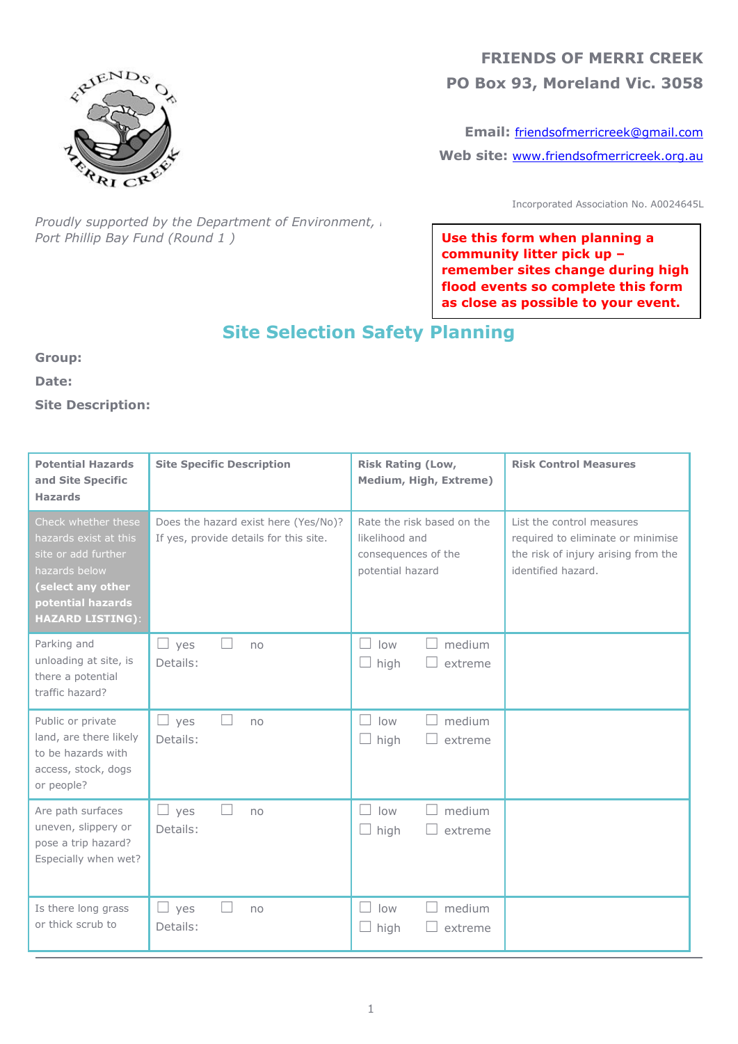

## **FRIENDS OF MERRI CREEK PO Box 93, Moreland Vic. 3058**

**Email:** [friendsofmerricreek@gmail.com](mailto:friendsofmerricreek@gmail.com) **Web site:** [www.friendsofmerricreek.org.au](http://www.friendsofmerricreek.org.au/)

Incorporated Association No. A0024645L

*Proudly supported by the Department of Environment, Land Water and Water and Proudly supported by the Department Port Phillip Bay Fund (Round 1 )*

**Use this form when planning a community litter pick up – remember sites change during high flood events so complete this form as close as possible to your event.**

# **Site Selection Safety Planning**

**Group:**

**Date:**

**Site Description:**

| <b>Potential Hazards</b><br>and Site Specific<br><b>Hazards</b>                                                                                           | <b>Site Specific Description</b>                                               | <b>Risk Rating (Low,</b><br><b>Medium, High, Extreme)</b>                               | <b>Risk Control Measures</b>                                                                                                |
|-----------------------------------------------------------------------------------------------------------------------------------------------------------|--------------------------------------------------------------------------------|-----------------------------------------------------------------------------------------|-----------------------------------------------------------------------------------------------------------------------------|
| Check whether these<br>hazards exist at this<br>site or add further<br>hazards below<br>(select any other<br>potential hazards<br><b>HAZARD LISTING):</b> | Does the hazard exist here (Yes/No)?<br>If yes, provide details for this site. | Rate the risk based on the<br>likelihood and<br>consequences of the<br>potential hazard | List the control measures<br>required to eliminate or minimise<br>the risk of injury arising from the<br>identified hazard. |
| Parking and<br>unloading at site, is<br>there a potential<br>traffic hazard?                                                                              | $\Box$<br>$\Box$ yes<br>no<br>Details:                                         | medium<br>low<br>$\Box$<br>$\Box$<br>high<br>extreme                                    |                                                                                                                             |
| Public or private<br>land, are there likely<br>to be hazards with<br>access, stock, dogs<br>or people?                                                    | $\Box$ yes<br>no<br>Details:                                                   | medium<br>low<br>$\Box$ high<br>extreme                                                 |                                                                                                                             |
| Are path surfaces<br>uneven, slippery or<br>pose a trip hazard?<br>Especially when wet?                                                                   | $\vert \ \ \vert$<br>$\Box$ yes<br>no<br>Details:                              | medium<br>low<br>$\perp$<br>$\Box$<br>$\Box$ high<br>extreme                            |                                                                                                                             |
| Is there long grass<br>or thick scrub to                                                                                                                  | $\perp$ yes<br>no<br>Details:                                                  | medium<br>low<br>extreme<br>high                                                        |                                                                                                                             |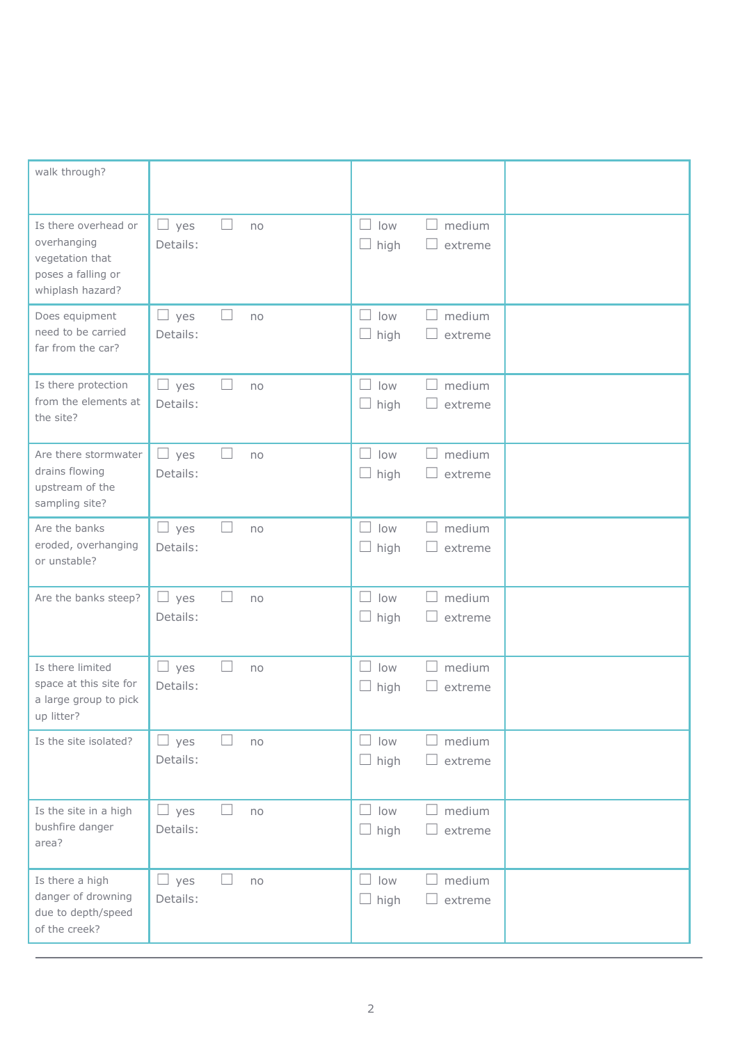| walk through?                                                                                    |                                                         |                                            |  |
|--------------------------------------------------------------------------------------------------|---------------------------------------------------------|--------------------------------------------|--|
| Is there overhead or<br>overhanging<br>vegetation that<br>poses a falling or<br>whiplash hazard? | $\Box$<br>□<br>yes<br>no<br>Details:                    | medium<br>low<br>high<br>extreme           |  |
| Does equipment<br>need to be carried<br>far from the car?                                        | $\Box$ yes<br>∟<br>no<br>Details:                       | medium<br>low<br>high<br>extreme           |  |
| Is there protection<br>from the elements at<br>the site?                                         | u<br>yes<br>no<br>Details:                              | medium<br>low<br>$\Box$ high<br>extreme    |  |
| Are there stormwater<br>drains flowing<br>upstream of the<br>sampling site?                      | u.<br>yes<br>L<br>no<br>Details:                        | low<br>medium<br>high<br>extreme           |  |
| Are the banks<br>eroded, overhanging<br>or unstable?                                             | $\Box$ yes<br>Н<br>no<br>Details:                       | medium<br>low<br>high<br>extreme           |  |
| Are the banks steep?                                                                             | L<br>$\Box$ yes<br>no<br>Details:                       | medium<br>low<br>extreme<br>high           |  |
| Is there limited<br>space at this site for<br>a large group to pick<br>up litter?                | yes<br>no<br>ப<br>Details:                              | low<br>medium<br>high<br>extreme<br>$\Box$ |  |
| Is the site isolated?                                                                            | $\Box$ yes<br>Н<br>no<br>Details:                       | medium<br>low<br>high<br>extreme           |  |
| Is the site in a high<br>bushfire danger<br>area?                                                | yes<br>$\overline{\phantom{0}}$<br>e.<br>no<br>Details: | medium<br>low<br>$\Box$ high<br>extreme    |  |
| Is there a high<br>danger of drowning<br>due to depth/speed<br>of the creek?                     | $\Box$ yes<br>$\mathbb{R}^n$<br>no<br>Details:          | low<br>medium<br>high<br>extreme           |  |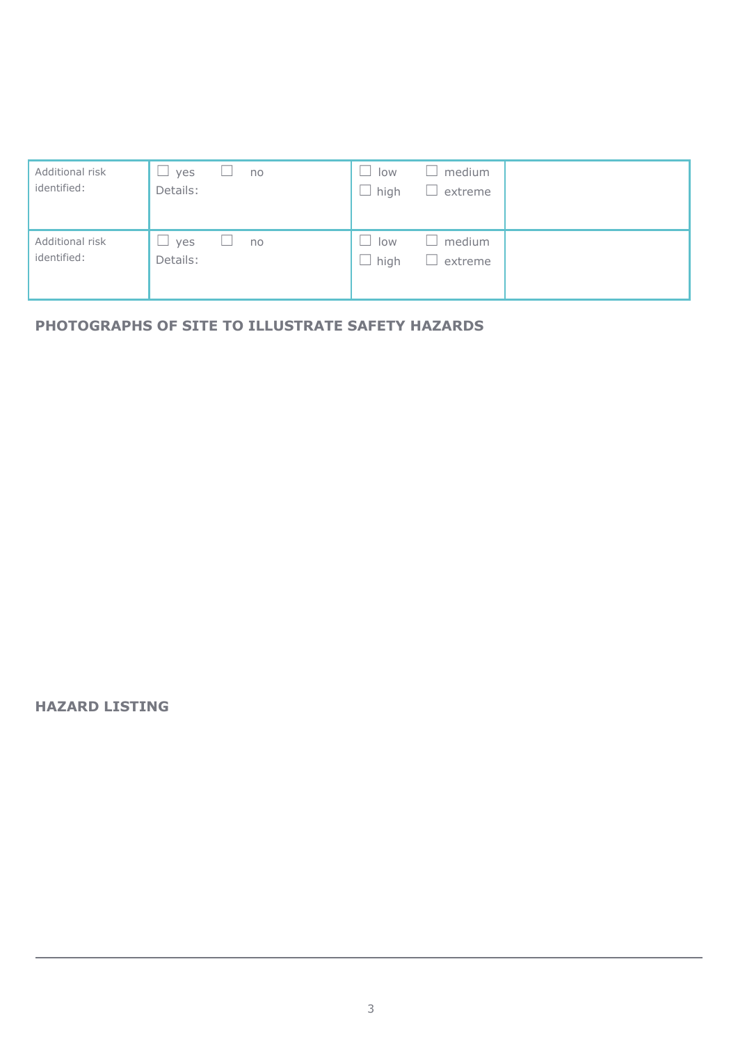| Additional risk<br>identified: | yes<br>no<br>÷<br>$\overline{\phantom{0}}$<br>Details: | medium<br>low<br>high<br>extreme      |
|--------------------------------|--------------------------------------------------------|---------------------------------------|
| Additional risk<br>identified: | yes<br>no<br>Details:                                  | medium<br>×<br>low<br>high<br>extreme |

## **PHOTOGRAPHS OF SITE TO ILLUSTRATE SAFETY HAZARDS**

#### **HAZARD LISTING**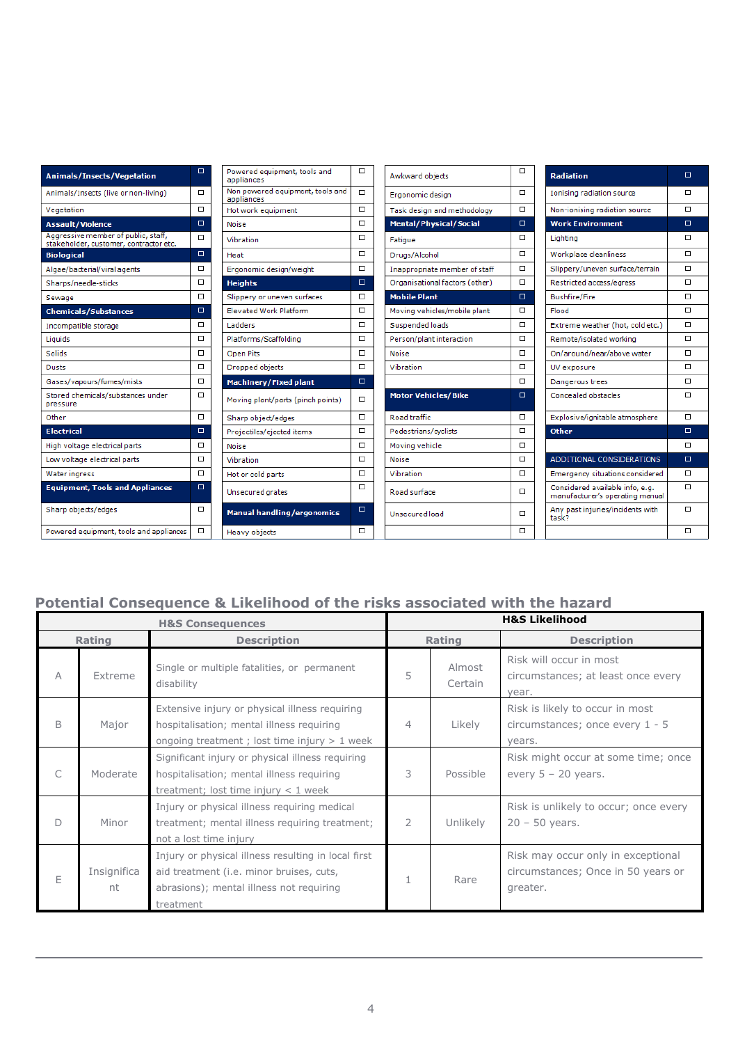| <b>Animals/Insects/Vegetation</b>                                             | $\Box$ | Powered equipment, tools and<br>appliances     | $\Box$ | Awkward objects                |                                                | <b>Radiation</b>                                                   | $\Box$ |
|-------------------------------------------------------------------------------|--------|------------------------------------------------|--------|--------------------------------|------------------------------------------------|--------------------------------------------------------------------|--------|
| Animals/Insects (live or non-living)                                          | $\Box$ | Non powered equipment, tools and<br>appliances | $\Box$ | Ergonomic design               | $\Box$                                         | Ionising radiation source                                          | $\Box$ |
| Vegetation                                                                    | $\Box$ | Hot work equipment                             | $\Box$ | Task design and methodology    | $\Box$                                         |                                                                    | $\Box$ |
| <b>Assault/Violence</b>                                                       | $\Box$ | <b>Noise</b>                                   | $\Box$ | <b>Mental/Physical/Social</b>  | $\Box$                                         | <b>Work Environment</b>                                            | $\Box$ |
| Aggressive member of public, staff,<br>stakeholder, customer, contractor etc. | $\Box$ | Vibration                                      | $\Box$ | Fatigue                        | $\Box$                                         | Lighting                                                           | $\Box$ |
| <b>Biological</b>                                                             | $\Box$ | Heat                                           | □      | Drugs/Alcohol                  | $\Box$                                         | Workplace cleanliness                                              | $\Box$ |
| Algae/bacterial/viral agents                                                  | □      | Ergonomic design/weight                        | □      | Inappropriate member of staff  | □                                              | Slippery/uneven surface/terrain                                    | $\Box$ |
| Sharps/needle-sticks                                                          | $\Box$ | <b>Heights</b>                                 | $\Box$ | Organisational factors (other) | $\Box$                                         | Restricted access/egress                                           | $\Box$ |
| Sewage                                                                        | $\Box$ | Slippery or uneven surfaces                    | □      | <b>Mobile Plant</b>            | $\Box$                                         | <b>Bushfire/Fire</b>                                               | $\Box$ |
| <b>Chemicals/Substances</b>                                                   | $\Box$ | <b>Elevated Work Platform</b>                  | $\Box$ | Moving vehicles/mobile plant   | □                                              | Flood                                                              | $\Box$ |
| Incompatible storage                                                          | □      | Ladders                                        | $\Box$ | Suspended loads                | $\Box$                                         | Extreme weather (hot, cold etc.)                                   | $\Box$ |
| Liquids                                                                       | $\Box$ | Platforms/Scaffolding                          | $\Box$ | Person/plant interaction       | $\Box$                                         | Remote/isolated working                                            | $\Box$ |
| Solids                                                                        | $\Box$ | <b>Open Pits</b>                               | $\Box$ | $\Box$<br><b>Noise</b>         |                                                | On/around/near/above water                                         | $\Box$ |
| <b>Dusts</b>                                                                  | $\Box$ | Dropped objects                                | $\Box$ | Vibration                      | $\Box$                                         |                                                                    | $\Box$ |
| Gases/vapours/fumes/mists                                                     | $\Box$ | <b>Machinery/Fixed plant</b>                   | $\Box$ |                                | $\Box$                                         | Dangerous trees                                                    | $\Box$ |
| Stored chemicals/substances under<br>pressure                                 | $\Box$ | Moving plant/parts (pinch points)              | $\Box$ | <b>Motor Vehicles/Bike</b>     | $\Box$<br>Concealed obstacles                  |                                                                    | $\Box$ |
| Other                                                                         | $\Box$ | Sharp object/edges                             |        | Road traffic<br>$\Box$         |                                                | Explosive/ignitable atmosphere                                     | $\Box$ |
| <b>Electrical</b>                                                             | $\Box$ | Projectiles/ejected items                      | $\Box$ | Pedestrians/cyclists           | □                                              | <b>Other</b>                                                       | $\Box$ |
| High voltage electrical parts                                                 | □      | <b>Noise</b>                                   | $\Box$ | Moving vehicle                 | □                                              |                                                                    | $\Box$ |
| Low voltage electrical parts                                                  | $\Box$ | Vibration                                      | $\Box$ | $\Box$<br><b>Noise</b>         |                                                | ADDITIONAL CONSIDERATIONS                                          | $\Box$ |
| Water ingress                                                                 | $\Box$ | Hot or cold parts                              | $\Box$ | Vibration                      | $\Box$<br>Emergency situations considered      |                                                                    | □      |
| <b>Equipment, Tools and Appliances</b>                                        | $\Box$ | Unsecured grates                               | $\Box$ | Road surface                   | □                                              | Considered available info, e.g.<br>manufacturer's operating manual |        |
| Sharp objects/edges                                                           | $\Box$ | <b>Manual handling/ergonomics</b>              | $\Box$ | Unsecured load                 | Any past injuries/incidents with<br>□<br>task? |                                                                    | $\Box$ |
| Powered equipment, tools and appliances                                       | $\Box$ | Heavy objects                                  | □      |                                | $\Box$                                         |                                                                    | □      |

## **Potential Consequence & Likelihood of the risks associated with the hazard**

| <b>H&amp;S Consequences</b> |                   |                                                                                                                                                          | <b>H&amp;S Likelihood</b>    |          |                                                                                      |  |  |
|-----------------------------|-------------------|----------------------------------------------------------------------------------------------------------------------------------------------------------|------------------------------|----------|--------------------------------------------------------------------------------------|--|--|
|                             | Rating            | <b>Description</b>                                                                                                                                       | Rating<br><b>Description</b> |          |                                                                                      |  |  |
| А                           | Extreme           | Single or multiple fatalities, or permanent<br>disability                                                                                                | Almost<br>5<br>Certain       |          | Risk will occur in most<br>circumstances; at least once every<br>vear.               |  |  |
| B                           | Major             | Extensive injury or physical illness requiring<br>hospitalisation; mental illness requiring<br>ongoing treatment; lost time injury $> 1$ week            | 4                            | Likely   | Risk is likely to occur in most<br>circumstances; once every $1 - 5$<br>vears.       |  |  |
| C                           | Moderate          | Significant injury or physical illness requiring<br>hospitalisation; mental illness requiring<br>treatment; lost time injury $<$ 1 week                  | 3                            | Possible | Risk might occur at some time; once<br>every $5 - 20$ years.                         |  |  |
| D                           | Minor             | Injury or physical illness requiring medical<br>treatment; mental illness requiring treatment;<br>not a lost time injury                                 | $\overline{2}$               | Unlikely | Risk is unlikely to occur; once every<br>$20 - 50$ years.                            |  |  |
| E                           | Insignifica<br>nt | Injury or physical illness resulting in local first<br>aid treatment (i.e. minor bruises, cuts,<br>abrasions); mental illness not requiring<br>treatment |                              | Rare     | Risk may occur only in exceptional<br>circumstances; Once in 50 years or<br>greater. |  |  |